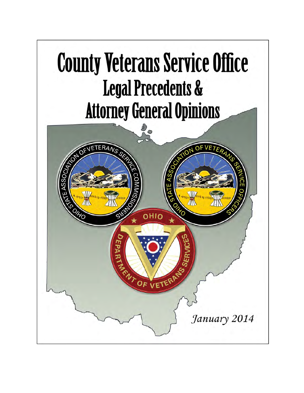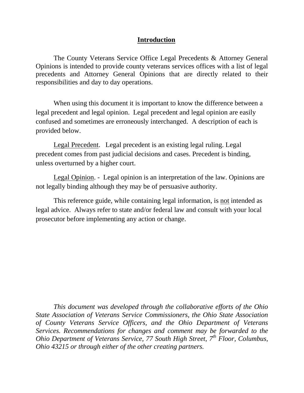## **Introduction**

The County Veterans Service Office Legal Precedents & Attorney General Opinions is intended to provide county veterans services offices with a list of legal precedents and Attorney General Opinions that are directly related to their responsibilities and day to day operations.

When using this document it is important to know the difference between a legal precedent and legal opinion. Legal precedent and legal opinion are easily confused and sometimes are erroneously interchanged. A description of each is provided below.

Legal Precedent. Legal precedent is an existing legal ruling. Legal precedent comes from past judicial decisions and cases. Precedent is binding, unless overturned by a higher court.

Legal Opinion. - Legal opinion is an interpretation of the law. Opinions are not legally binding although they may be of persuasive authority.

This reference guide, while containing legal information, is not intended as legal advice. Always refer to state and/or federal law and consult with your local prosecutor before implementing any action or change.

*This document was developed through the collaborative efforts of the Ohio State Association of Veterans Service Commissioners, the Ohio State Association of County Veterans Service Officers, and the Ohio Department of Veterans Services. Recommendations for changes and comment may be forwarded to the Ohio Department of Veterans Service, 77 South High Street, 7th Floor, Columbus, Ohio 43215 or through either of the other creating partners.*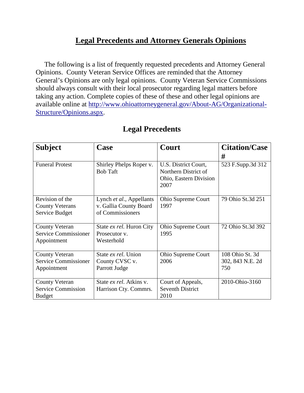## **Legal Precedents and Attorney Generals Opinions**

 The following is a list of frequently requested precedents and Attorney General Opinions. County Veteran Service Offices are reminded that the Attorney General's Opinions are only legal opinions. County Veteran Service Commissions should always consult with their local prosecutor regarding legal matters before taking any action. Complete copies of these of these and other legal opinions are available online at [http://www.ohioattorneygeneral.gov/About-AG/Organizational-](http://www.ohioattorneygeneral.gov/About-AG/Organizational-Structure/Opinions.aspx)[Structure/Opinions.aspx.](http://www.ohioattorneygeneral.gov/About-AG/Organizational-Structure/Opinions.aspx)

| <b>Subject</b>                                                      | Case                                                                   | Court                                                                          | <b>Citation/Case</b><br>#                  |
|---------------------------------------------------------------------|------------------------------------------------------------------------|--------------------------------------------------------------------------------|--------------------------------------------|
| <b>Funeral Protest</b>                                              | Shirley Phelps Roper v.<br><b>Bob Taft</b>                             | U.S. District Court,<br>Northern District of<br>Ohio, Eastern Division<br>2007 | 523 F.Supp.3d 312                          |
| Revision of the<br><b>County Veterans</b><br>Service Budget         | Lynch et al., Appellants<br>v. Gallia County Board<br>of Commissioners | Ohio Supreme Court<br>1997                                                     | 79 Ohio St.3d 251                          |
| <b>County Veteran</b><br><b>Service Commissioner</b><br>Appointment | State ex rel. Huron City<br>Prosecutor v.<br>Westerhold                | Ohio Supreme Court<br>1995                                                     | 72 Ohio St.3d 392                          |
| <b>County Veteran</b><br><b>Service Commissioner</b><br>Appointment | State ex rel. Union<br>County CVSC v.<br>Parrott Judge                 | Ohio Supreme Court<br>2006                                                     | 108 Ohio St. 3d<br>302, 843 N.E. 2d<br>750 |
| <b>County Veteran</b><br><b>Service Commission</b><br><b>Budget</b> | State ex rel. Atkins v.<br>Harrison Cty. Commrs.                       | Court of Appeals,<br><b>Seventh District</b><br>2010                           | 2010-Ohio-3160                             |

## **Legal Precedents**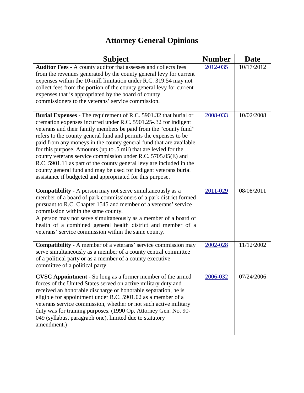## **Attorney General Opinions**

| <b>Subject</b>                                                                                                                                                                                                                                                                                                                                                                                                                                                                                                                                                                                                                                                                                | <b>Number</b> | Date       |
|-----------------------------------------------------------------------------------------------------------------------------------------------------------------------------------------------------------------------------------------------------------------------------------------------------------------------------------------------------------------------------------------------------------------------------------------------------------------------------------------------------------------------------------------------------------------------------------------------------------------------------------------------------------------------------------------------|---------------|------------|
| Auditor Fees - A county auditor that assesses and collects fees<br>from the revenues generated by the county general levy for current<br>expenses within the 10-mill limitation under R.C. 319.54 may not<br>collect fees from the portion of the county general levy for current<br>expenses that is appropriated by the board of county<br>commissioners to the veterans' service commission.                                                                                                                                                                                                                                                                                               | 2012-035      | 10/17/2012 |
| Burial Expenses - The requirement of R.C. 5901.32 that burial or<br>cremation expenses incurred under R.C. 5901.25-.32 for indigent<br>veterans and their family members be paid from the "county fund"<br>refers to the county general fund and permits the expenses to be<br>paid from any moneys in the county general fund that are available<br>for this purpose. Amounts (up to .5 mil) that are levied for the<br>county veterans service commission under R.C. 5705.05(E) and<br>R.C. 5901.11 as part of the county general levy are included in the<br>county general fund and may be used for indigent veterans burial<br>assistance if budgeted and appropriated for this purpose. | 2008-033      | 10/02/2008 |
| Compatibility - A person may not serve simultaneously as a<br>member of a board of park commissioners of a park district formed<br>pursuant to R.C. Chapter 1545 and member of a veterans' service<br>commission within the same county.<br>A person may not serve simultaneously as a member of a board of<br>health of a combined general health district and member of a<br>veterans' service commission within the same county.                                                                                                                                                                                                                                                           | 2011-029      | 08/08/2011 |
| <b>Compatibility - A</b> member of a veterans' service commission may<br>serve simultaneously as a member of a county central committee<br>of a political party or as a member of a county executive<br>committee of a political party.                                                                                                                                                                                                                                                                                                                                                                                                                                                       | 2002-028      | 11/12/2002 |
| CVSC Appointment - So long as a former member of the armed<br>forces of the United States served on active military duty and<br>received an honorable discharge or honorable separation, he is<br>eligible for appointment under R.C. 5901.02 as a member of a<br>veterans service commission, whether or not such active military<br>duty was for training purposes. (1990 Op. Attorney Gen. No. 90-<br>049 (syllabus, paragraph one), limited due to statutory<br>amendment.)                                                                                                                                                                                                               | 2006-032      | 07/24/2006 |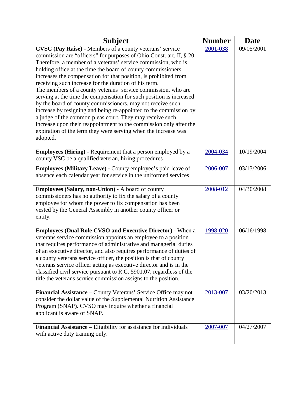| <b>Subject</b>                                                                                                                                                                                                                                                                                                                                                                                                                                                                                                                                                                                                                                                                                                                                                                                                                                                                                   | <b>Number</b> | <b>Date</b> |
|--------------------------------------------------------------------------------------------------------------------------------------------------------------------------------------------------------------------------------------------------------------------------------------------------------------------------------------------------------------------------------------------------------------------------------------------------------------------------------------------------------------------------------------------------------------------------------------------------------------------------------------------------------------------------------------------------------------------------------------------------------------------------------------------------------------------------------------------------------------------------------------------------|---------------|-------------|
| <b>CVSC (Pay Raise)</b> - Members of a county veterans' service<br>commission are "officers" for purposes of Ohio Const. art. II, § 20.<br>Therefore, a member of a veterans' service commission, who is<br>holding office at the time the board of county commissioners<br>increases the compensation for that position, is prohibited from<br>receiving such increase for the duration of his term.<br>The members of a county veterans' service commission, who are<br>serving at the time the compensation for such position is increased<br>by the board of county commissioners, may not receive such<br>increase by resigning and being re-appointed to the commission by<br>a judge of the common pleas court. They may receive such<br>increase upon their reappointment to the commission only after the<br>expiration of the term they were serving when the increase was<br>adopted. | 2001-038      | 09/05/2001  |
| <b>Employees (Hiring)</b> - Requirement that a person employed by a<br>county VSC be a qualified veteran, hiring procedures                                                                                                                                                                                                                                                                                                                                                                                                                                                                                                                                                                                                                                                                                                                                                                      | 2004-034      | 10/19/2004  |
| Employees (Military Leave) - County employee's paid leave of<br>absence each calendar year for service in the uniformed services                                                                                                                                                                                                                                                                                                                                                                                                                                                                                                                                                                                                                                                                                                                                                                 | 2006-007      | 03/13/2006  |
| Employees (Salary, non-Union) - A board of county<br>commissioners has no authority to fix the salary of a county<br>employee for whom the power to fix compensation has been<br>vested by the General Assembly in another county officer or<br>entity.                                                                                                                                                                                                                                                                                                                                                                                                                                                                                                                                                                                                                                          | 2008-012      | 04/30/2008  |
| <b>Employees (Dual Role CVSO and Executive Director)</b> - When a<br>veterans service commission appoints an employee to a position<br>that requires performance of administrative and managerial duties<br>of an executive director, and also requires performance of duties of<br>a county veterans service officer, the position is that of county<br>veterans service officer acting as executive director and is in the<br>classified civil service pursuant to R.C. 5901.07, regardless of the<br>title the veterans service commission assigns to the position.                                                                                                                                                                                                                                                                                                                           | 1998-020      | 06/16/1998  |
| Financial Assistance - County Veterans' Service Office may not<br>consider the dollar value of the Supplemental Nutrition Assistance<br>Program (SNAP). CVSO may inquire whether a financial<br>applicant is aware of SNAP.                                                                                                                                                                                                                                                                                                                                                                                                                                                                                                                                                                                                                                                                      | 2013-007      | 03/20/2013  |
| <b>Financial Assistance – Eligibility for assistance for individuals</b><br>with active duty training only.                                                                                                                                                                                                                                                                                                                                                                                                                                                                                                                                                                                                                                                                                                                                                                                      | 2007-007      | 04/27/2007  |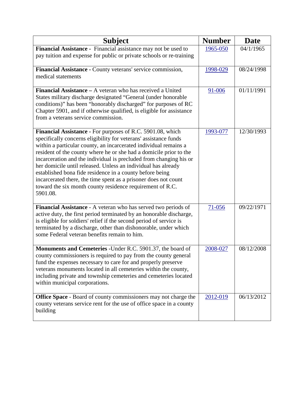| <b>Subject</b>                                                                                                                                                                                                                                                                                                                                                                                                                                                                                                                                                                                                          | <b>Number</b> | <b>Date</b> |
|-------------------------------------------------------------------------------------------------------------------------------------------------------------------------------------------------------------------------------------------------------------------------------------------------------------------------------------------------------------------------------------------------------------------------------------------------------------------------------------------------------------------------------------------------------------------------------------------------------------------------|---------------|-------------|
| Financial Assistance - Financial assistance may not be used to<br>pay tuition and expense for public or private schools or re-training                                                                                                                                                                                                                                                                                                                                                                                                                                                                                  | 1965-050      | 04/1/1965   |
| Financial Assistance - County veterans' service commission,<br>medical statements                                                                                                                                                                                                                                                                                                                                                                                                                                                                                                                                       | 1998-029      | 08/24/1998  |
| Financial Assistance – A veteran who has received a United<br>States military discharge designated "General (under honorable<br>conditions)" has been "honorably discharged" for purposes of RC<br>Chapter 5901, and if otherwise qualified, is eligible for assistance<br>from a veterans service commission.                                                                                                                                                                                                                                                                                                          | 91-006        | 01/11/1991  |
| Financial Assistance - For purposes of R.C. 5901.08, which<br>specifically concerns eligibility for veterans' assistance funds<br>within a particular county, an incarcerated individual remains a<br>resident of the county where he or she had a domicile prior to the<br>incarceration and the individual is precluded from changing his or<br>her domicile until released. Unless an individual has already<br>established bona fide residence in a county before being<br>incarcerated there, the time spent as a prisoner does not count<br>toward the six month county residence requirement of R.C.<br>5901.08. | 1993-077      | 12/30/1993  |
| Financial Assistance - A veteran who has served two periods of<br>active duty, the first period terminated by an honorable discharge,<br>is eligible for soldiers' relief if the second period of service is<br>terminated by a discharge, other than dishonorable, under which<br>some Federal veteran benefits remain to him.                                                                                                                                                                                                                                                                                         | $71 - 056$    | 09/22/1971  |
| Monuments and Cemeteries - Under R.C. 5901.37, the board of<br>county commissioners is required to pay from the county general<br>fund the expenses necessary to care for and properly preserve<br>veterans monuments located in all cemeteries within the county,<br>including private and township cemeteries and cemeteries located<br>within municipal corporations.                                                                                                                                                                                                                                                | 2008-027      | 08/12/2008  |
| Office Space - Board of county commissioners may not charge the<br>county veterans service rent for the use of office space in a county<br>building                                                                                                                                                                                                                                                                                                                                                                                                                                                                     | 2012-019      | 06/13/2012  |